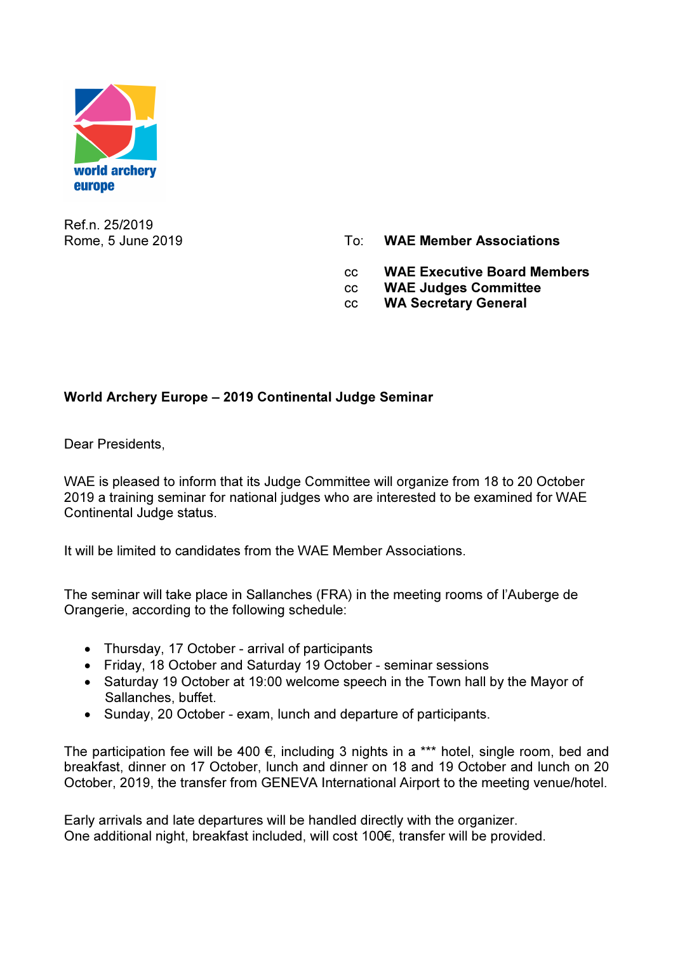

Ref.n. 25/2019

- Rome, 5 June 2019 **To: WAE Member Associations** 
	- cc WAE Executive Board Members
	- cc WAE Judges Committee
	- cc WA Secretary General

## World Archery Europe – 2019 Continental Judge Seminar

Dear Presidents,

WAE is pleased to inform that its Judge Committee will organize from 18 to 20 October 2019 a training seminar for national judges who are interested to be examined for WAE Continental Judge status.

It will be limited to candidates from the WAE Member Associations.

The seminar will take place in Sallanches (FRA) in the meeting rooms of l'Auberge de Orangerie, according to the following schedule:

- Thursday, 17 October arrival of participants
- Friday, 18 October and Saturday 19 October seminar sessions
- Saturday 19 October at 19:00 welcome speech in the Town hall by the Mayor of Sallanches, buffet.
- Sunday, 20 October exam, lunch and departure of participants.

The participation fee will be 400  $\epsilon$ , including 3 nights in a \*\*\* hotel, single room, bed and breakfast, dinner on 17 October, lunch and dinner on 18 and 19 October and lunch on 20 October, 2019, the transfer from GENEVA International Airport to the meeting venue/hotel.

Early arrivals and late departures will be handled directly with the organizer. One additional night, breakfast included, will cost 100€, transfer will be provided.